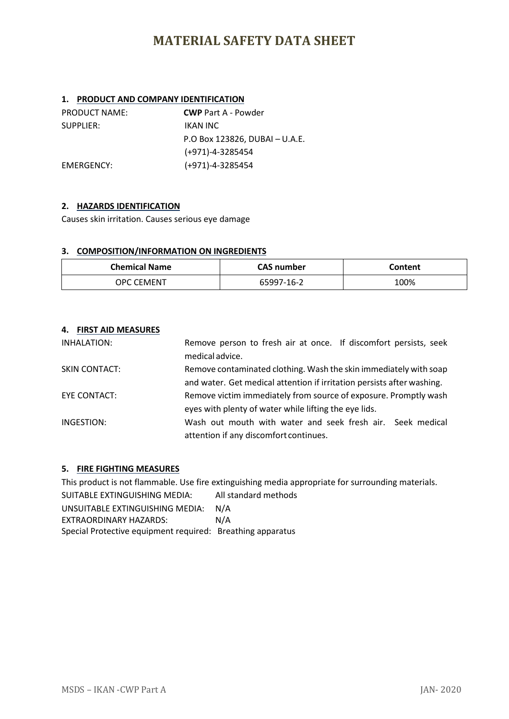### **1. PRODUCT AND COMPANY IDENTIFICATION**

| <b>PRODUCT NAME:</b> | <b>CWP</b> Part A - Powder     |
|----------------------|--------------------------------|
| SUPPLIER:            | IKAN INC                       |
|                      | P.O Box 123826, DUBAI - U.A.E. |
|                      | (+971)-4-3285454               |
| EMERGENCY:           | $(+971)-4-3285454$             |

### **2. HAZARDS IDENTIFICATION**

Causes skin irritation. Causes serious eye damage

### **3. COMPOSITION/INFORMATION ON INGREDIENTS**

| <b>Chemical Name</b> | <b>CAS number</b> | Content |
|----------------------|-------------------|---------|
| OPC CEMENT.          | 65997-16-2        | 100%    |

### **4. FIRST AID MEASURES**

| INHALATION:          | Remove person to fresh air at once. If discomfort persists, seek<br>medical advice. |
|----------------------|-------------------------------------------------------------------------------------|
|                      |                                                                                     |
| <b>SKIN CONTACT:</b> | Remove contaminated clothing. Wash the skin immediately with soap                   |
|                      | and water. Get medical attention if irritation persists after washing.              |
| EYE CONTACT:         | Remove victim immediately from source of exposure. Promptly wash                    |
|                      | eyes with plenty of water while lifting the eye lids.                               |
| INGESTION:           | Wash out mouth with water and seek fresh air. Seek medical                          |
|                      | attention if any discomfort continues.                                              |

### **5. FIRE FIGHTING MEASURES**

This product is not flammable. Use fire extinguishing media appropriate for surrounding materials. SUITABLE EXTINGUISHING MEDIA: All standard methods UNSUITABLE EXTINGUISHING MEDIA: N/A EXTRAORDINARY HAZARDS: N/A Special Protective equipment required: Breathing apparatus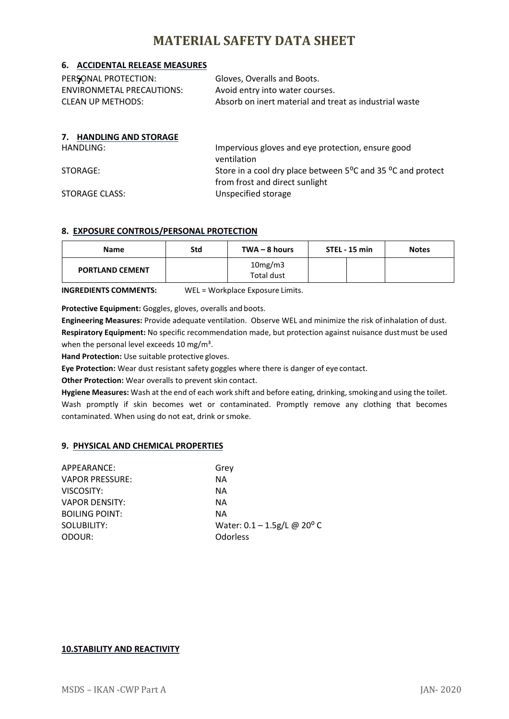### **6. ACCIDENTAL RELEASE MEASURES**

| PERSONAL PROTECTION:      | Gloves, Overalls and Boots.                            |
|---------------------------|--------------------------------------------------------|
| ENVIRONMETAL PRECAUTIONS: | Avoid entry into water courses.                        |
| CLEAN UP METHODS:         | Absorb on inert material and treat as industrial waste |

### **7. HANDLING AND STORAGE**

HANDLING: Impervious gloves and eye protection, ensure good ventilation STORAGE: STORAGE: Store in a cool dry place between 5<sup>o</sup>C and 35 <sup>o</sup>C and protect from frost and direct sunlight STORAGE CLASS: Unspecified storage

### **8. EXPOSURE CONTROLS/PERSONAL PROTECTION**

| <b>Name</b>            | Std | $TWA - 8 hours$       | STEL - 15 min | <b>Notes</b> |
|------------------------|-----|-----------------------|---------------|--------------|
| <b>PORTLAND CEMENT</b> |     | 10mg/m3<br>Total dust |               |              |

**INGREDIENTS COMMENTS:** WEL = Workplace Exposure Limits.

**Protective Equipment:** Goggles, gloves, overalls and boots.

**Engineering Measures:** Provide adequate ventilation. Observe WEL and minimize the risk ofinhalation of dust. **Respiratory Equipment:** No specific recommendation made, but protection against nuisance dustmust be used when the personal level exceeds 10 mg/m<sup>3</sup>.

**Hand Protection:** Use suitable protective gloves.

**Eye Protection:** Wear dust resistant safety goggles where there is danger of eye contact.

**Other Protection:** Wear overalls to prevent skin contact.

**Hygiene Measures:** Wash at the end of each work shift and before eating, drinking, smokingand using the toilet. Wash promptly if skin becomes wet or contaminated. Promptly remove any clothing that becomes contaminated. When using do not eat, drink orsmoke.

### **9. PHYSICAL AND CHEMICAL PROPERTIES**

| APPEARANCE:            | Grey                                       |
|------------------------|--------------------------------------------|
| <b>VAPOR PRESSURE:</b> | NA.                                        |
| VISCOSITY:             | NA.                                        |
| <b>VAPOR DENSITY:</b>  | NA.                                        |
| <b>BOILING POINT:</b>  | NA.                                        |
| SOLUBILITY:            | Water: $0.1 - 1.5$ g/L @ 20 <sup>o</sup> C |
| ODOUR:                 | Odorless                                   |

### **10.STABILITY AND REACTIVITY**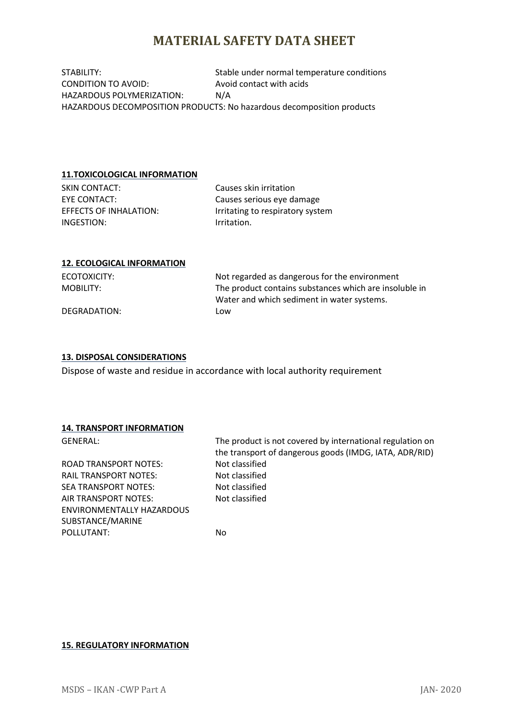STABILITY: STABILITY: Stable under normal temperature conditions CONDITION TO AVOID: Avoid contact with acids HAZARDOUS POLYMERIZATION: N/A HAZARDOUS DECOMPOSITION PRODUCTS: No hazardous decomposition products

#### **11.TOXICOLOGICAL INFORMATION**

SKIN CONTACT: Causes skin irritation EYE CONTACT: Causes serious eye damage INGESTION: Irritation.

EFFECTS OF INHALATION: Irritating to respiratory system

#### **12. ECOLOGICAL INFORMATION**

ECOTOXICITY: Not regarded as dangerous for the environment MOBILITY: The product contains substances which are insoluble in Water and which sediment in water systems. DEGRADATION: Low

### **13. DISPOSAL CONSIDERATIONS**

Dispose of waste and residue in accordance with local authority requirement

### **14. TRANSPORT INFORMATION**

ROAD TRANSPORT NOTES: Not classified RAIL TRANSPORT NOTES: Not classified SEA TRANSPORT NOTES: Not classified AIR TRANSPORT NOTES: Not classified ENVIRONMENTALLY HAZARDOUS SUBSTANCE/MARINE POLLUTANT: No

GENERAL: The product is not covered by international regulation on the transport of dangerous goods (IMDG, IATA, ADR/RID)

#### **15. REGULATORY INFORMATION**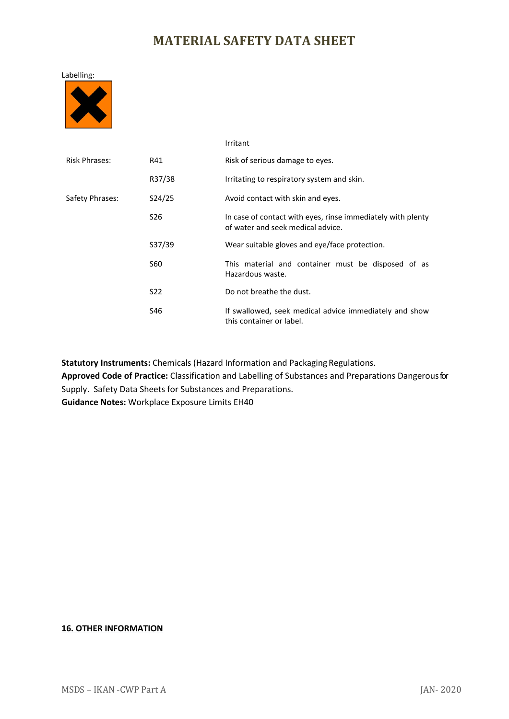

|                      |                 | Irritant                                                                                         |
|----------------------|-----------------|--------------------------------------------------------------------------------------------------|
| <b>Risk Phrases:</b> | R41             | Risk of serious damage to eyes.                                                                  |
|                      | R37/38          | Irritating to respiratory system and skin.                                                       |
| Safety Phrases:      | S24/25          | Avoid contact with skin and eyes.                                                                |
|                      | S <sub>26</sub> | In case of contact with eyes, rinse immediately with plenty<br>of water and seek medical advice. |
|                      | S37/39          | Wear suitable gloves and eye/face protection.                                                    |
|                      | S60             | This material and container must be disposed of as<br>Hazardous waste.                           |
|                      | S <sub>22</sub> | Do not breathe the dust.                                                                         |
|                      | S46             | If swallowed, seek medical advice immediately and show<br>this container or label.               |

**Statutory Instruments:** Chemicals (Hazard Information and Packaging Regulations.

**Approved Code of Practice:** Classification and Labelling of Substances and Preparations Dangerousfor Supply. Safety Data Sheets for Substances and Preparations.

**Guidance Notes:** Workplace Exposure Limits EH40

### **16. OTHER INFORMATION**